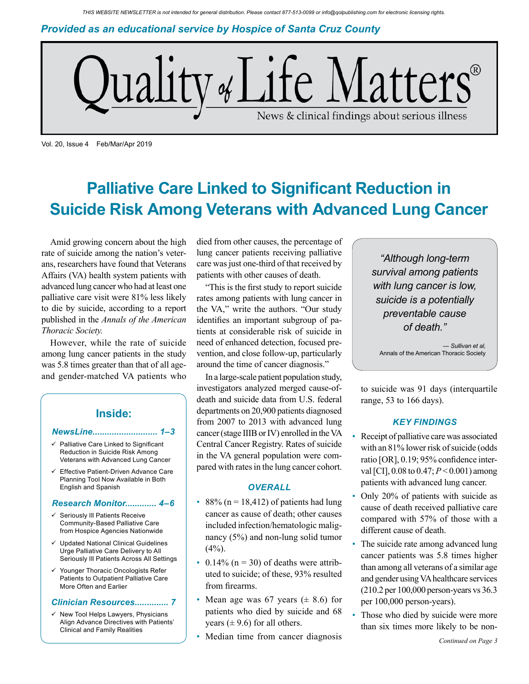*Provided as an educational service by Hospice of Santa Cruz County*



Vol. 20, Issue 4 Feb/Mar/Apr 2019

## **Palliative Care Linked to Significant Reduction in Suicide Risk Among Veterans with Advanced Lung Cancer**

Amid growing concern about the high rate of suicide among the nation's veterans, researchers have found that Veterans Affairs (VA) health system patients with advanced lung cancer who had at least one palliative care visit were 81% less likely to die by suicide, according to a report published in the *Annals of the American Thoracic Society.*

However, while the rate of suicide among lung cancer patients in the study was 5.8 times greater than that of all ageand gender-matched VA patients who

## **Inside:**

#### *NewsLine........................... 1–3*

- $\checkmark$  Palliative Care Linked to Significant Reduction in Suicide Risk Among Veterans with Advanced Lung Cancer
- Effective Patient-Driven Advance Care Planning Tool Now Available in Both English and Spanish

#### *Research Monitor............. 4–6*

- $\checkmark$  Seriously III Patients Receive Community-Based Palliative Care from Hospice Agencies Nationwide
- $\checkmark$  Updated National Clinical Guidelines Urge Palliative Care Delivery to All Seriously Ill Patients Across All Settings
- Younger Thoracic Oncologists Refer Patients to Outpatient Palliative Care More Often and Earlier

#### *Clinician Resources.............. 7*

 $\checkmark$  New Tool Helps Lawyers, Physicians Align Advance Directives with Patients' Clinical and Family Realities

died from other causes, the percentage of lung cancer patients receiving palliative care was just one-third of that received by patients with other causes of death.

"This is the first study to report suicide rates among patients with lung cancer in the VA," write the authors. "Our study identifies an important subgroup of patients at considerable risk of suicide in need of enhanced detection, focused prevention, and close follow-up, particularly around the time of cancer diagnosis."

In a large-scale patient population study, investigators analyzed merged cause-ofdeath and suicide data from U.S. federal departments on 20,900 patients diagnosed from 2007 to 2013 with advanced lung cancer (stage IIIB or IV) enrolled in the VA Central Cancer Registry. Rates of suicide in the VA general population were compared with rates in the lung cancer cohort.

### *OVERALL*

- 88% ( $n = 18,412$ ) of patients had lung cancer as cause of death; other causes included infection/hematologic malignancy (5%) and non-lung solid tumor  $(4\%)$ .
- 0.14% ( $n = 30$ ) of deaths were attributed to suicide; of these, 93% resulted from firearms.
- Mean age was 67 years  $(\pm 8.6)$  for patients who died by suicide and 68 years  $(\pm 9.6)$  for all others.
- Median time from cancer diagnosis

*"Although long-term survival among patients with lung cancer is low, suicide is a potentially preventable cause of death."*

*— Sullivan et al,* Annals of the American Thoracic Society

to suicide was 91 days (interquartile range, 53 to 166 days).

### *KEY FINDINGS*

- Receipt of palliative care was associated with an 81% lower risk of suicide (odds ratio [OR], 0.19; 95% confidence interval [CI], 0.08 to 0.47; *P* < 0.001) among patients with advanced lung cancer.
- Only 20% of patients with suicide as cause of death received palliative care compared with 57% of those with a different cause of death.
- The suicide rate among advanced lung cancer patients was 5.8 times higher than among all veterans of a similar age and gender using VA healthcare services (210.2 per 100,000 person-years vs 36.3 per 100,000 person-years).
- Those who died by suicide were more than six times more likely to be non-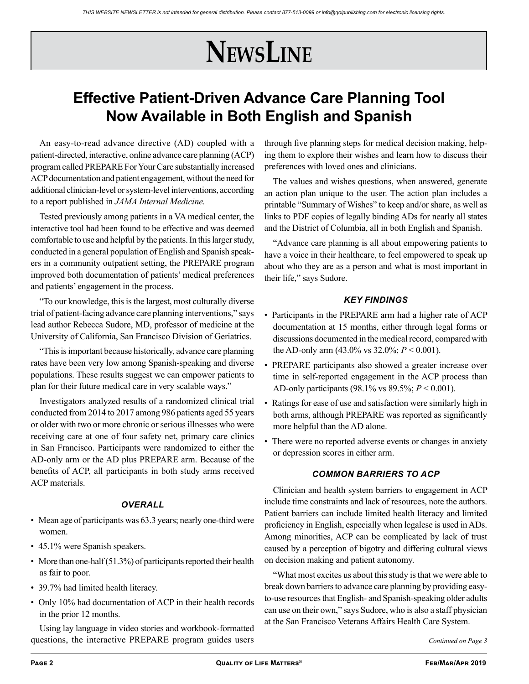# **NewsLine**

## **Effective Patient-Driven Advance Care Planning Tool Now Available in Both English and Spanish**

An easy-to-read advance directive (AD) coupled with a patient-directed, interactive, online advance care planning (ACP) program called PREPARE For Your Care substantially increased ACP documentation and patient engagement, without the need for additional clinician-level or system-level interventions, according to a report published in *JAMA Internal Medicine.*

Tested previously among patients in a VA medical center, the interactive tool had been found to be effective and was deemed comfortable to use and helpful by the patients. In this larger study, conducted in a general population of English and Spanish speakers in a community outpatient setting, the PREPARE program improved both documentation of patients' medical preferences and patients' engagement in the process.

"To our knowledge, this is the largest, most culturally diverse trial of patient-facing advance care planning interventions," says lead author Rebecca Sudore, MD, professor of medicine at the University of California, San Francisco Division of Geriatrics.

"This is important because historically, advance care planning rates have been very low among Spanish-speaking and diverse populations. These results suggest we can empower patients to plan for their future medical care in very scalable ways."

Investigators analyzed results of a randomized clinical trial conducted from 2014 to 2017 among 986 patients aged 55 years or older with two or more chronic or serious illnesses who were receiving care at one of four safety net, primary care clinics in San Francisco. Participants were randomized to either the AD-only arm or the AD plus PREPARE arm. Because of the benefits of ACP, all participants in both study arms received ACP materials.

## *OVERALL*

- Mean age of participants was 63.3 years; nearly one-third were women.
- 45.1% were Spanish speakers.
- More than one-half (51.3%) of participants reported their health as fair to poor.
- 39.7% had limited health literacy.
- Only 10% had documentation of ACP in their health records in the prior 12 months.

Using lay language in video stories and workbook-formatted questions, the interactive PREPARE program guides users *Continued on Page 3* 

through five planning steps for medical decision making, helping them to explore their wishes and learn how to discuss their preferences with loved ones and clinicians.

The values and wishes questions, when answered, generate an action plan unique to the user. The action plan includes a printable "Summary of Wishes" to keep and/or share, as well as links to PDF copies of legally binding ADs for nearly all states and the District of Columbia, all in both English and Spanish.

"Advance care planning is all about empowering patients to have a voice in their healthcare, to feel empowered to speak up about who they are as a person and what is most important in their life," says Sudore.

## *KEY FINDINGS*

- Participants in the PREPARE arm had a higher rate of ACP documentation at 15 months, either through legal forms or discussions documented in the medical record, compared with the AD-only arm  $(43.0\% \text{ vs } 32.0\%; P \le 0.001)$ .
- PREPARE participants also showed a greater increase over time in self-reported engagement in the ACP process than AD-only participants (98.1% vs 89.5%; *P* < 0.001).
- Ratings for ease of use and satisfaction were similarly high in both arms, although PREPARE was reported as significantly more helpful than the AD alone.
- There were no reported adverse events or changes in anxiety or depression scores in either arm.

## *COMMON BARRIERS TO ACP*

Clinician and health system barriers to engagement in ACP include time constraints and lack of resources, note the authors. Patient barriers can include limited health literacy and limited proficiency in English, especially when legalese is used in ADs. Among minorities, ACP can be complicated by lack of trust caused by a perception of bigotry and differing cultural views on decision making and patient autonomy.

"What most excites us about this study is that we were able to break down barriers to advance care planning by providing easyto-use resources that English- and Spanish-speaking older adults can use on their own," says Sudore, who is also a staff physician at the San Francisco Veterans Affairs Health Care System.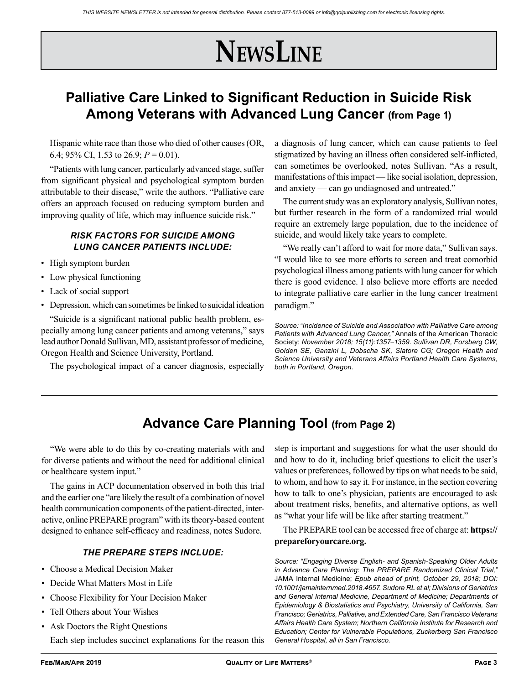# **NewsLine**

## **Palliative Care Linked to Significant Reduction in Suicide Risk Among Veterans with Advanced Lung Cancer (from Page 1)**

Hispanic white race than those who died of other causes (OR, 6.4; 95% CI, 1.53 to 26.9; *P* = 0.01).

"Patients with lung cancer, particularly advanced stage, suffer from significant physical and psychological symptom burden attributable to their disease," write the authors. "Palliative care offers an approach focused on reducing symptom burden and improving quality of life, which may influence suicide risk."

## *RISK FACTORS FOR SUICIDE AMONG LUNG CANCER PATIENTS INCLUDE:*

- High symptom burden
- Low physical functioning
- Lack of social support
- Depression, which can sometimes be linked to suicidal ideation

"Suicide is a significant national public health problem, especially among lung cancer patients and among veterans," says lead author Donald Sullivan, MD, assistant professor of medicine, Oregon Health and Science University, Portland.

The psychological impact of a cancer diagnosis, especially

a diagnosis of lung cancer, which can cause patients to feel stigmatized by having an illness often considered self-inflicted, can sometimes be overlooked, notes Sullivan. "As a result, manifestations of this impact — like social isolation, depression, and anxiety — can go undiagnosed and untreated."

The current study was an exploratory analysis, Sullivan notes, but further research in the form of a randomized trial would require an extremely large population, due to the incidence of suicide, and would likely take years to complete.

"We really can't afford to wait for more data," Sullivan says. "I would like to see more efforts to screen and treat comorbid psychological illness among patients with lung cancer for which there is good evidence. I also believe more efforts are needed to integrate palliative care earlier in the lung cancer treatment paradigm."

*Source: "Incidence of Suicide and Association with Palliative Care among Patients with Advanced Lung Cancer,"* Annals of the American Thoracic Society; *November 2018; 15(11):1357*–*1359. Sullivan DR, Forsberg CW, Golden SE, Ganzini L, Dobscha SK, Slatore CG; Oregon Health and Science University and Veterans Affairs Portland Health Care Systems, both in Portland, Oregon.*

## **Advance Care Planning Tool (from Page 2)**

"We were able to do this by co-creating materials with and for diverse patients and without the need for additional clinical or healthcare system input."

The gains in ACP documentation observed in both this trial and the earlier one "are likely the result of a combination of novel health communication components of the patient-directed, interactive, online PREPARE program" with its theory-based content designed to enhance self-efficacy and readiness, notes Sudore.

## *THE PREPARE STEPS INCLUDE:*

- Choose a Medical Decision Maker
- Decide What Matters Most in Life
- Choose Flexibility for Your Decision Maker
- Tell Others about Your Wishes
- Ask Doctors the Right Questions Each step includes succinct explanations for the reason this

step is important and suggestions for what the user should do and how to do it, including brief questions to elicit the user's values or preferences, followed by tips on what needs to be said, to whom, and how to say it. For instance, in the section covering how to talk to one's physician, patients are encouraged to ask about treatment risks, benefits, and alternative options, as well as "what your life will be like after starting treatment."

The PREPARE tool can be accessed free of charge at: **https:// prepareforyourcare.org.**

*Source: "Engaging Diverse English- and Spanish-Speaking Older Adults in Advance Care Planning: The PREPARE Randomized Clinical Trial,"*  JAMA Internal Medicine; *Epub ahead of print, October 29, 2018; DOI: 10.1001/jamainternmed.2018.4657. Sudore RL et al; Divisions of Geriatrics and General Internal Medicine, Department of Medicine; Departments of Epidemiology & Biostatistics and Psychiatry, University of California, San Francisco; Geriatrics, Palliative, and Extended Care, San Francisco Veterans Affairs Health Care System; Northern California Institute for Research and Education; Center for Vulnerable Populations, Zuckerberg San Francisco General Hospital, all in San Francisco.*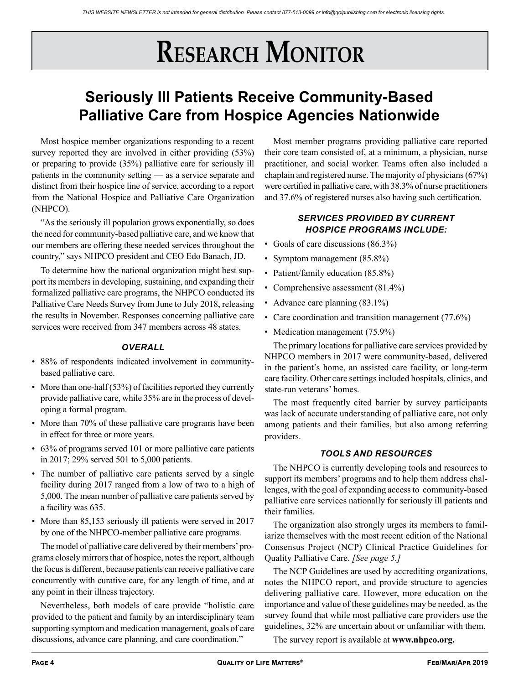# **RESEARCH MONITOR**

## **Seriously Ill Patients Receive Community-Based Palliative Care from Hospice Agencies Nationwide**

Most hospice member organizations responding to a recent survey reported they are involved in either providing  $(53\%)$ or preparing to provide (35%) palliative care for seriously ill patients in the community setting — as a service separate and distinct from their hospice line of service, according to a report from the National Hospice and Palliative Care Organization (NHPCO).

"As the seriously ill population grows exponentially, so does the need for community-based palliative care, and we know that our members are offering these needed services throughout the country," says NHPCO president and CEO Edo Banach, JD.

To determine how the national organization might best support its members in developing, sustaining, and expanding their formalized palliative care programs, the NHPCO conducted its Palliative Care Needs Survey from June to July 2018, releasing the results in November. Responses concerning palliative care services were received from 347 members across 48 states.

## *OVERALL*

- 88% of respondents indicated involvement in communitybased palliative care.
- More than one-half (53%) of facilities reported they currently provide palliative care, while 35% are in the process of developing a formal program.
- More than 70% of these palliative care programs have been in effect for three or more years.
- 63% of programs served 101 or more palliative care patients in 2017; 29% served 501 to 5,000 patients.
- The number of palliative care patients served by a single facility during 2017 ranged from a low of two to a high of 5,000. The mean number of palliative care patients served by a facility was 635.
- More than 85,153 seriously ill patients were served in 2017 by one of the NHPCO-member palliative care programs.

The model of palliative care delivered by their members' programs closely mirrors that of hospice, notes the report, although the focus is different, because patients can receive palliative care concurrently with curative care, for any length of time, and at any point in their illness trajectory.

Nevertheless, both models of care provide "holistic care provided to the patient and family by an interdisciplinary team supporting symptom and medication management, goals of care discussions, advance care planning, and care coordination."

Most member programs providing palliative care reported their core team consisted of, at a minimum, a physician, nurse practitioner, and social worker. Teams often also included a chaplain and registered nurse. The majority of physicians (67%) were certified in palliative care, with 38.3% of nurse practitioners and 37.6% of registered nurses also having such certification.

## *SERVICES PROVIDED BY CURRENT HOSPICE PROGRAMS INCLUDE:*

- Goals of care discussions (86.3%)
- Symptom management (85.8%)
- Patient/family education (85.8%)
- Comprehensive assessment (81.4%)
- Advance care planning (83.1%)
- Care coordination and transition management (77.6%)
- Medication management (75.9%)

The primary locations for palliative care services provided by NHPCO members in 2017 were community-based, delivered in the patient's home, an assisted care facility, or long-term care facility. Other care settings included hospitals, clinics, and state-run veterans' homes.

The most frequently cited barrier by survey participants was lack of accurate understanding of palliative care, not only among patients and their families, but also among referring providers.

## *TOOLS AND RESOURCES*

The NHPCO is currently developing tools and resources to support its members' programs and to help them address challenges, with the goal of expanding access to community-based palliative care services nationally for seriously ill patients and their families.

The organization also strongly urges its members to familiarize themselves with the most recent edition of the National Consensus Project (NCP) Clinical Practice Guidelines for Quality Palliative Care. *[See page 5.]*

The NCP Guidelines are used by accrediting organizations, notes the NHPCO report, and provide structure to agencies delivering palliative care. However, more education on the importance and value of these guidelines may be needed, as the survey found that while most palliative care providers use the guidelines, 32% are uncertain about or unfamiliar with them.

The survey report is available at **www.nhpco.org.**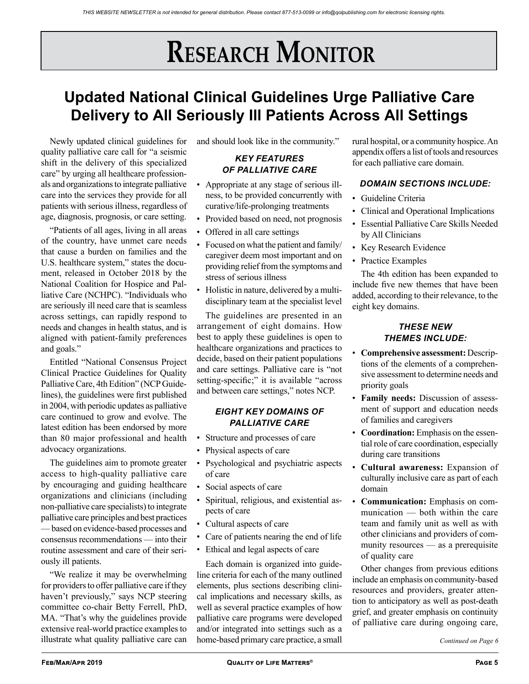# **RESEARCH MONITOR**

## **Updated National Clinical Guidelines Urge Palliative Care Delivery to All Seriously Ill Patients Across All Settings**

Newly updated clinical guidelines for quality palliative care call for "a seismic shift in the delivery of this specialized care" by urging all healthcare professionals and organizations to integrate palliative care into the services they provide for all patients with serious illness, regardless of age, diagnosis, prognosis, or care setting.

"Patients of all ages, living in all areas of the country, have unmet care needs that cause a burden on families and the U.S. healthcare system," states the document, released in October 2018 by the National Coalition for Hospice and Palliative Care (NCHPC). "Individuals who are seriously ill need care that is seamless across settings, can rapidly respond to needs and changes in health status, and is aligned with patient-family preferences and goals."

Entitled "National Consensus Project Clinical Practice Guidelines for Quality Palliative Care, 4th Edition" (NCP Guidelines), the guidelines were first published in 2004, with periodic updates as palliative care continued to grow and evolve. The latest edition has been endorsed by more than 80 major professional and health advocacy organizations.

The guidelines aim to promote greater access to high-quality palliative care by encouraging and guiding healthcare organizations and clinicians (including non-palliative care specialists) to integrate palliative care principles and best practices — based on evidence-based processes and consensus recommendations — into their routine assessment and care of their seriously ill patients.

"We realize it may be overwhelming for providers to offer palliative care if they haven't previously," says NCP steering committee co-chair Betty Ferrell, PhD, MA. "That's why the guidelines provide extensive real-world practice examples to illustrate what quality palliative care can

and should look like in the community."

## *KEY FEATURES OF PALLIATIVE CARE*

- Appropriate at any stage of serious illness, to be provided concurrently with curative/life-prolonging treatments
- Provided based on need, not prognosis
- Offered in all care settings
- Focused on what the patient and family/ caregiver deem most important and on providing relief from the symptoms and stress of serious illness
- Holistic in nature, delivered by a multidisciplinary team at the specialist level

The guidelines are presented in an arrangement of eight domains. How best to apply these guidelines is open to healthcare organizations and practices to decide, based on their patient populations and care settings. Palliative care is "not setting-specific;" it is available "across and between care settings," notes NCP.

## *EIGHT KEY DOMAINS OF PALLIATIVE CARE*

- Structure and processes of care
- Physical aspects of care
- Psychological and psychiatric aspects of care
- Social aspects of care
- Spiritual, religious, and existential aspects of care
- Cultural aspects of care
- Care of patients nearing the end of life
- Ethical and legal aspects of care

Each domain is organized into guideline criteria for each of the many outlined elements, plus sections describing clinical implications and necessary skills, as well as several practice examples of how palliative care programs were developed and/or integrated into settings such as a home-based primary care practice, a small

rural hospital, or a community hospice. An appendix offers a list of tools and resources for each palliative care domain.

## *DOMAIN SECTIONS INCLUDE:*

- Guideline Criteria
- Clinical and Operational Implications
- Essential Palliative Care Skills Needed by All Clinicians
- Key Research Evidence
- Practice Examples

The 4th edition has been expanded to include five new themes that have been added, according to their relevance, to the eight key domains.

## *THESE NEW THEMES INCLUDE:*

- **Comprehensive assessment:** Descriptions of the elements of a comprehensive assessment to determine needs and priority goals
- **Family needs:** Discussion of assessment of support and education needs of families and caregivers
- **Coordination:** Emphasis on the essential role of care coordination, especially during care transitions
- **Cultural awareness:** Expansion of culturally inclusive care as part of each domain
- **Communication:** Emphasis on communication — both within the care team and family unit as well as with other clinicians and providers of community resources — as a prerequisite of quality care

Other changes from previous editions include an emphasis on community-based resources and providers, greater attention to anticipatory as well as post-death grief, and greater emphasis on continuity of palliative care during ongoing care,

*Continued on Page 6*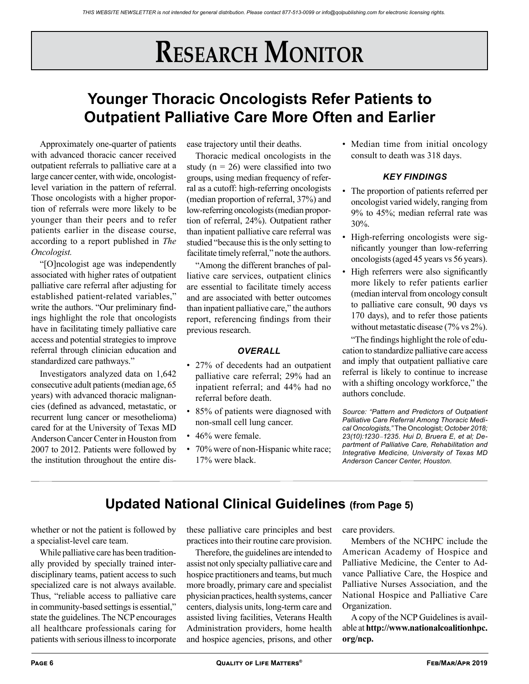## **Research Monitor**

## **Younger Thoracic Oncologists Refer Patients to Outpatient Palliative Care More Often and Earlier**

Approximately one-quarter of patients with advanced thoracic cancer received outpatient referrals to palliative care at a large cancer center, with wide, oncologistlevel variation in the pattern of referral. Those oncologists with a higher proportion of referrals were more likely to be younger than their peers and to refer patients earlier in the disease course, according to a report published in *The Oncologist.*

"[O]ncologist age was independently associated with higher rates of outpatient palliative care referral after adjusting for established patient-related variables," write the authors. "Our preliminary findings highlight the role that oncologists have in facilitating timely palliative care access and potential strategies to improve referral through clinician education and standardized care pathways."

Investigators analyzed data on 1,642 consecutive adult patients (median age, 65 years) with advanced thoracic malignancies (defined as advanced, metastatic, or recurrent lung cancer or mesothelioma) cared for at the University of Texas MD Anderson Cancer Center in Houston from 2007 to 2012. Patients were followed by the institution throughout the entire disease trajectory until their deaths.

Thoracic medical oncologists in the study ( $n = 26$ ) were classified into two groups, using median frequency of referral as a cutoff: high-referring oncologists (median proportion of referral, 37%) and low-referring oncologists (median proportion of referral, 24%). Outpatient rather than inpatient palliative care referral was studied "because this is the only setting to facilitate timely referral," note the authors.

"Among the different branches of palliative care services, outpatient clinics are essential to facilitate timely access and are associated with better outcomes than inpatient palliative care," the authors report, referencing findings from their previous research.

### *OVERALL*

- 27% of decedents had an outpatient palliative care referral; 29% had an inpatient referral; and 44% had no referral before death.
- 85% of patients were diagnosed with non-small cell lung cancer.
- 46% were female.
- 70% were of non-Hispanic white race; 17% were black.

• Median time from initial oncology consult to death was 318 days.

## *KEY FINDINGS*

- The proportion of patients referred per oncologist varied widely, ranging from 9% to 45%; median referral rate was 30%.
- High-referring oncologists were significantly younger than low-referring oncologists (aged 45 years vs 56 years).
- High referrers were also significantly more likely to refer patients earlier (median interval from oncology consult to palliative care consult, 90 days vs 170 days), and to refer those patients without metastatic disease (7% vs 2%).

"The findings highlight the role of education to standardize palliative care access and imply that outpatient palliative care referral is likely to continue to increase with a shifting oncology workforce," the authors conclude.

*Source: "Pattern and Predictors of Outpatient Palliative Care Referral Among Thoracic Medical Oncologists,"* The Oncologist; *October 2018; 23(10):1230*–*1235. Hui D, Bruera E, et al; Department of Palliative Care, Rehabilitation and Integrative Medicine, University of Texas MD Anderson Cancer Center, Houston.*

## **Updated National Clinical Guidelines (from Page 5)**

whether or not the patient is followed by a specialist-level care team.

While palliative care has been traditionally provided by specially trained interdisciplinary teams, patient access to such specialized care is not always available. Thus, "reliable access to palliative care in community-based settings is essential," state the guidelines. The NCP encourages all healthcare professionals caring for patients with serious illness to incorporate these palliative care principles and best practices into their routine care provision.

Therefore, the guidelines are intended to assist not only specialty palliative care and hospice practitioners and teams, but much more broadly, primary care and specialist physician practices, health systems, cancer centers, dialysis units, long-term care and assisted living facilities, Veterans Health Administration providers, home health and hospice agencies, prisons, and other

care providers.

Members of the NCHPC include the American Academy of Hospice and Palliative Medicine, the Center to Advance Palliative Care, the Hospice and Palliative Nurses Association, and the National Hospice and Palliative Care Organization.

A copy of the NCP Guidelines is available at **http://www.nationalcoalitionhpc. org/ncp.**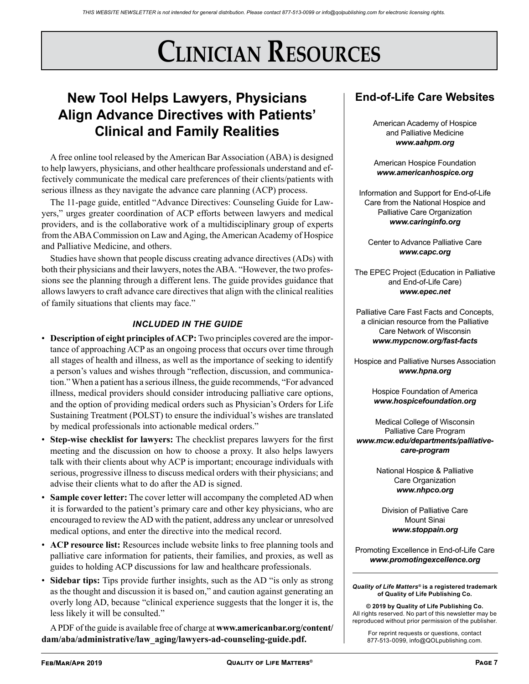# **Clinician Resources**

## **New Tool Helps Lawyers, Physicians Align Advance Directives with Patients' Clinical and Family Realities**

A free online tool released by the American Bar Association (ABA) is designed to help lawyers, physicians, and other healthcare professionals understand and effectively communicate the medical care preferences of their clients/patients with serious illness as they navigate the advance care planning (ACP) process.

The 11-page guide, entitled "Advance Directives: Counseling Guide for Lawyers," urges greater coordination of ACP efforts between lawyers and medical providers, and is the collaborative work of a multidisciplinary group of experts from the ABA Commission on Law and Aging, the American Academy of Hospice and Palliative Medicine, and others.

Studies have shown that people discuss creating advance directives (ADs) with both their physicians and their lawyers, notes the ABA. "However, the two professions see the planning through a different lens. The guide provides guidance that allows lawyers to craft advance care directives that align with the clinical realities of family situations that clients may face."

## *INCLUDED IN THE GUIDE*

- **Description of eight principles of ACP:** Two principles covered are the importance of approaching ACP as an ongoing process that occurs over time through all stages of health and illness, as well as the importance of seeking to identify a person's values and wishes through "reflection, discussion, and communication." When a patient has a serious illness, the guide recommends, "For advanced illness, medical providers should consider introducing palliative care options, and the option of providing medical orders such as Physician's Orders for Life Sustaining Treatment (POLST) to ensure the individual's wishes are translated by medical professionals into actionable medical orders."
- **Step-wise checklist for lawyers:** The checklist prepares lawyers for the first meeting and the discussion on how to choose a proxy. It also helps lawyers talk with their clients about why ACP is important; encourage individuals with serious, progressive illness to discuss medical orders with their physicians; and advise their clients what to do after the AD is signed.
- **Sample cover letter:** The cover letter will accompany the completed AD when it is forwarded to the patient's primary care and other key physicians, who are encouraged to review the AD with the patient, address any unclear or unresolved medical options, and enter the directive into the medical record.
- **ACP resource list:** Resources include website links to free planning tools and palliative care information for patients, their families, and proxies, as well as guides to holding ACP discussions for law and healthcare professionals.
- **Sidebar tips:** Tips provide further insights, such as the AD "is only as strong as the thought and discussion it is based on," and caution against generating an overly long AD, because "clinical experience suggests that the longer it is, the less likely it will be consulted."

A PDF of the guide is available free of charge at **www.americanbar.org/content/ dam/aba/administrative/law\_aging/lawyers-ad-counseling-guide.pdf.**

## **End-of-Life Care Websites**

American Academy of Hospice and Palliative Medicine *www.aahpm.org*

American Hospice Foundation *www.americanhospice.org*

Information and Support for End-of-Life Care from the National Hospice and Palliative Care Organization *www.caringinfo.org*

Center to Advance Palliative Care *www.capc.org*

The EPEC Project (Education in Palliative and End-of-Life Care) *www.epec.net*

Palliative Care Fast Facts and Concepts, a clinician resource from the Palliative Care Network of Wisconsin *www.mypcnow.org/fast-facts*

Hospice and Palliative Nurses Association *www.hpna.org*

> Hospice Foundation of America *www.hospicefoundation.org*

Medical College of Wisconsin Palliative Care Program *www.mcw.edu/departments/palliativecare-program*

> National Hospice & Palliative Care Organization *www.nhpco.org*

Division of Palliative Care Mount Sinai *www.stoppain.org*

Promoting Excellence in End-of-Life Care *www.promotingexcellence.org*

#### *Quality of Life Matters®* **is a registered trademark of Quality of Life Publishing Co.**

**© 2019 by Quality of Life Publishing Co.** All rights reserved. No part of this newsletter may be reproduced without prior permission of the publisher.

For reprint requests or questions, contact 877-513-0099, info@QOLpublishing.com.